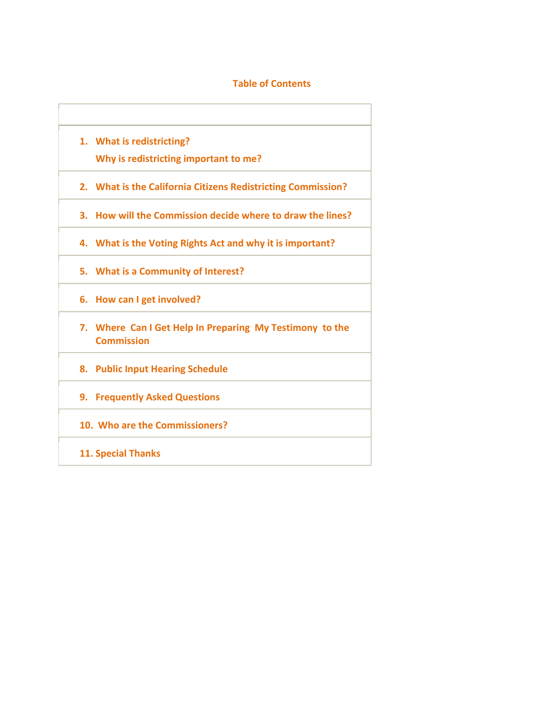# **Table of Contents**

**1. What is redistricting? Why is redistricting important to me? 2. What is the California Citizens Redistricting Commission? 3. How will the Commission decide where to draw the lines? 4. What is the Voting Rights Act and why it is important? 5. What is a Community of Interest? 6. How can I get involved? 7. Where Can I Get Help In Preparing My Testimony to the Commission 8. Public Input Hearing Schedule 9. Frequently Asked Questions 10. Who are the Commissioners? 11. Special Thanks**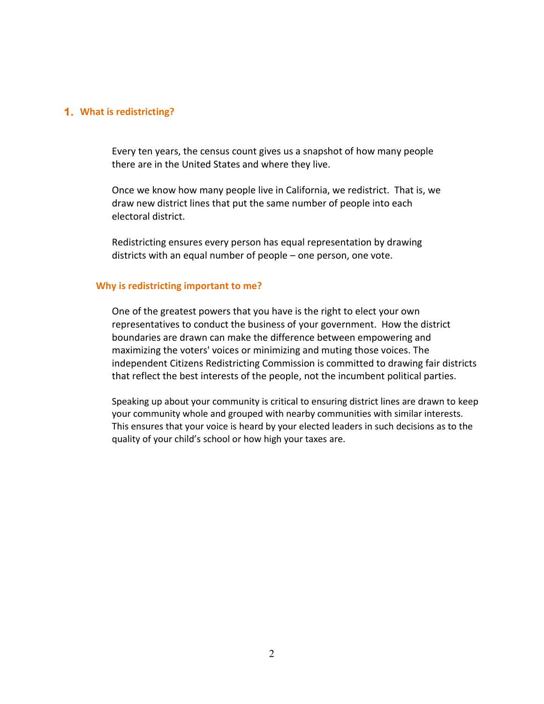#### **1. What is redistricting?**

Every ten years, the census count gives us a snapshot of how many people there are in the United States and where they live.

Once we know how many people live in California, we redistrict. That is, we draw new district lines that put the same number of people into each electoral district.

Redistricting ensures every person has equal representation by drawing districts with an equal number of people – one person, one vote.

#### **Why is redistricting important to me?**

One of the greatest powers that you have is the right to elect your own representatives to conduct the business of your government. How the district boundaries are drawn can make the difference between empowering and maximizing the voters' voices or minimizing and muting those voices. The independent Citizens Redistricting Commission is committed to drawing fair districts that reflect the best interests of the people, not the incumbent political parties.

Speaking up about your community is critical to ensuring district lines are drawn to keep your community whole and grouped with nearby communities with similar interests. This ensures that your voice is heard by your elected leaders in such decisions as to the quality of your child's school or how high your taxes are.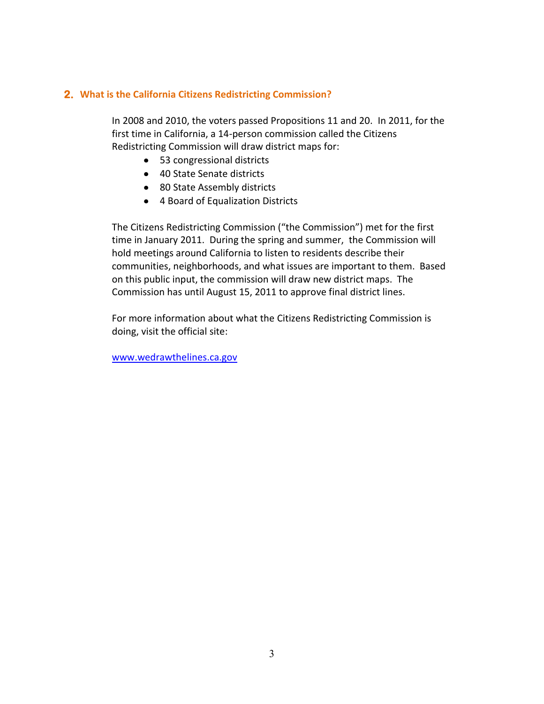# **2. What is the California Citizens Redistricting Commission?**

In 2008 and 2010, the voters passed Propositions 11 and 20. In 2011, for the first time in California, a 14-person commission called the Citizens Redistricting Commission will draw district maps for:

- 53 congressional districts
- 40 State Senate districts
- 80 State Assembly districts
- 4 Board of Equalization Districts

The Citizens Redistricting Commission ("the Commission") met for the first time in January 2011. During the spring and summer, the Commission will hold meetings around California to listen to residents describe their communities, neighborhoods, and what issues are important to them. Based on this public input, the commission will draw new district maps. The Commission has until August 15, 2011 to approve final district lines.

For more information about what the Citizens Redistricting Commission is doing, visit the official site:

[www.wedrawthelines.ca.gov](http://www.wedrawthelines.ca.gov/)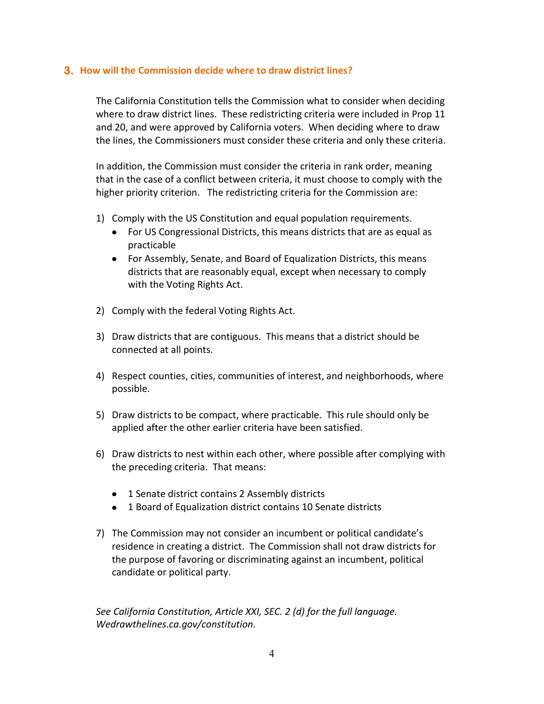#### **3. How will the Commission decide where to draw district lines?**

The California Constitution tells the Commission what to consider when deciding where to draw district lines. These redistricting criteria were included in Prop 11 and 20, and were approved by California voters. When deciding where to draw the lines, the Commissioners must consider these criteria and only these criteria.

In addition, the Commission must consider the criteria in rank order, meaning that in the case of a conflict between criteria, it must choose to comply with the higher priority criterion. The redistricting criteria for the Commission are:

- 1) Comply with the US Constitution and equal population requirements.
	- For US Congressional Districts, this means districts that are as equal as practicable
	- For Assembly, Senate, and Board of Equalization Districts, this means districts that are reasonably equal, except when necessary to comply with the Voting Rights Act.
- 2) Comply with the federal Voting Rights Act.
- 3) Draw districts that are contiguous. This means that a district should be connected at all points.
- 4) Respect counties, cities, communities of interest, and neighborhoods, where possible.
- 5) Draw districts to be compact, where practicable. This rule should only be applied after the other earlier criteria have been satisfied.
- 6) Draw districts to nest within each other, where possible after complying with the preceding criteria. That means:
	- 1 Senate district contains 2 Assembly districts
	- 1 Board of Equalization district contains 10 Senate districts
- 7) The Commission may not consider an incumbent or political candidate's residence in creating a district. The Commission shall not draw districts for the purpose of favoring or discriminating against an incumbent, political candidate or political party.

*See California Constitution, Article XXI, SEC. 2 (d) for the full language. Wedrawthelines.ca.gov/constitution.*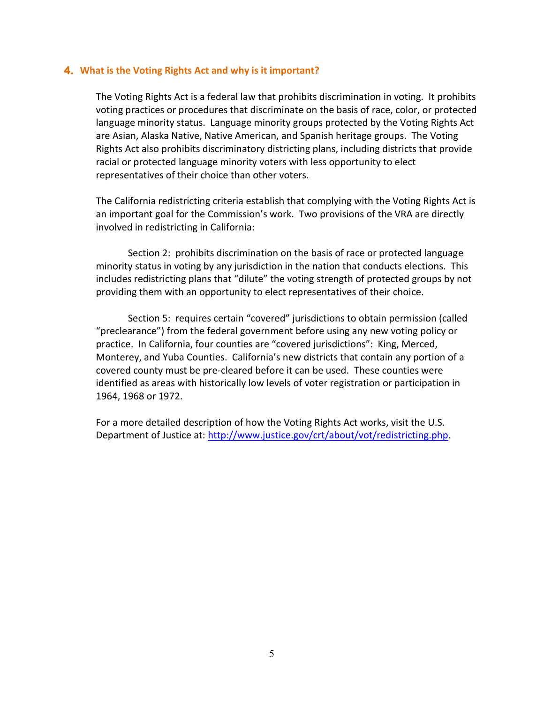#### **4. What is the Voting Rights Act and why is it important?**

The Voting Rights Act is a federal law that prohibits discrimination in voting. It prohibits voting practices or procedures that discriminate on the basis of race, color, or protected language minority status. Language minority groups protected by the Voting Rights Act are Asian, Alaska Native, Native American, and Spanish heritage groups. The Voting Rights Act also prohibits discriminatory districting plans, including districts that provide racial or protected language minority voters with less opportunity to elect representatives of their choice than other voters.

The California redistricting criteria establish that complying with the Voting Rights Act is an important goal for the Commission's work. Two provisions of the VRA are directly involved in redistricting in California:

Section 2: prohibits discrimination on the basis of race or protected language minority status in voting by any jurisdiction in the nation that conducts elections. This includes redistricting plans that "dilute" the voting strength of protected groups by not providing them with an opportunity to elect representatives of their choice.

Section 5: requires certain "covered" jurisdictions to obtain permission (called "preclearance") from the federal government before using any new voting policy or practice. In California, four counties are "covered jurisdictions": King, Merced, Monterey, and Yuba Counties. California's new districts that contain any portion of a covered county must be pre-cleared before it can be used. These counties were identified as areas with historically low levels of voter registration or participation in 1964, 1968 or 1972.

For a more detailed description of how the Voting Rights Act works, visit the U.S. Department of Justice at: [http://www.justice.gov/crt/about/vot/redistricting.php.](http://www.justice.gov/crt/about/vot/redistricting.php)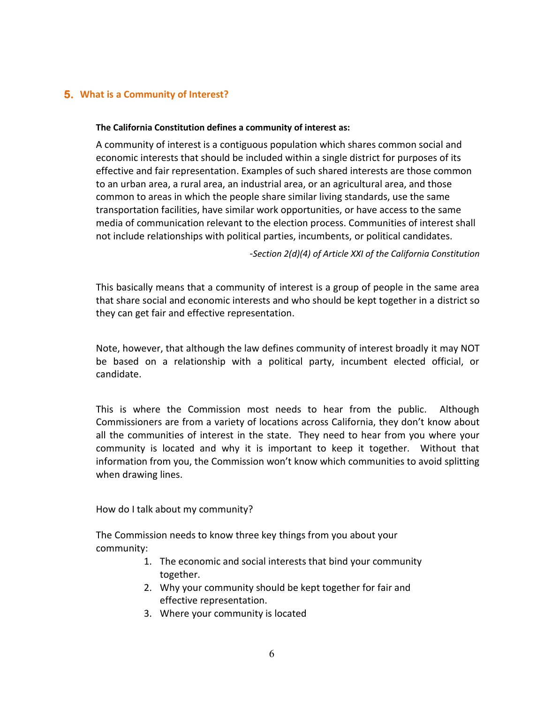# **5. What is a Community of Interest?**

#### **The California Constitution defines a community of interest as:**

A community of interest is a contiguous population which shares common social and economic interests that should be included within a single district for purposes of its effective and fair representation. Examples of such shared interests are those common to an urban area, a rural area, an industrial area, or an agricultural area, and those common to areas in which the people share similar living standards, use the same transportation facilities, have similar work opportunities, or have access to the same media of communication relevant to the election process. Communities of interest shall not include relationships with political parties, incumbents, or political candidates.

-*Section 2(d)(4) of Article XXI of the California Constitution*

This basically means that a community of interest is a group of people in the same area that share social and economic interests and who should be kept together in a district so they can get fair and effective representation.

Note, however, that although the law defines community of interest broadly it may NOT be based on a relationship with a political party, incumbent elected official, or candidate.

This is where the Commission most needs to hear from the public. Although Commissioners are from a variety of locations across California, they don't know about all the communities of interest in the state. They need to hear from you where your community is located and why it is important to keep it together. Without that information from you, the Commission won't know which communities to avoid splitting when drawing lines.

How do I talk about my community?

The Commission needs to know three key things from you about your community:

- 1. The economic and social interests that bind your community together.
- 2. Why your community should be kept together for fair and effective representation.
- 3. Where your community is located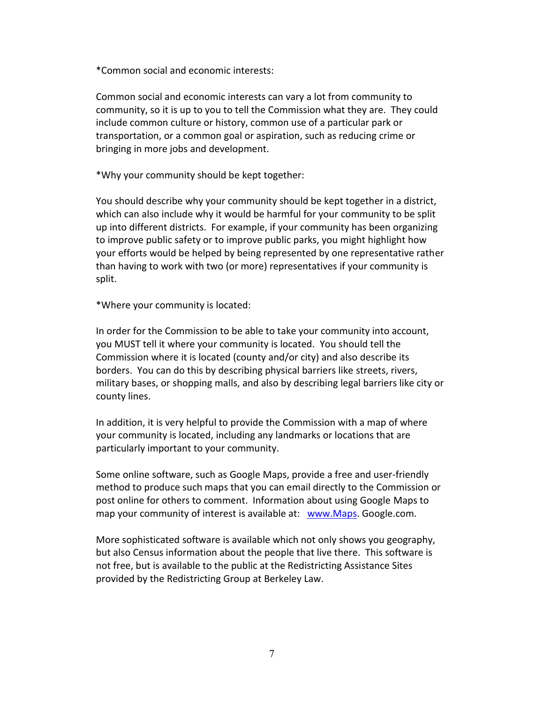\*Common social and economic interests:

Common social and economic interests can vary a lot from community to community, so it is up to you to tell the Commission what they are. They could include common culture or history, common use of a particular park or transportation, or a common goal or aspiration, such as reducing crime or bringing in more jobs and development.

\*Why your community should be kept together:

You should describe why your community should be kept together in a district, which can also include why it would be harmful for your community to be split up into different districts. For example, if your community has been organizing to improve public safety or to improve public parks, you might highlight how your efforts would be helped by being represented by one representative rather than having to work with two (or more) representatives if your community is split.

\*Where your community is located:

In order for the Commission to be able to take your community into account, you MUST tell it where your community is located. You should tell the Commission where it is located (county and/or city) and also describe its borders. You can do this by describing physical barriers like streets, rivers, military bases, or shopping malls, and also by describing legal barriers like city or county lines.

In addition, it is very helpful to provide the Commission with a map of where your community is located, including any landmarks or locations that are particularly important to your community.

Some online software, such as Google Maps, provide a free and user-friendly method to produce such maps that you can email directly to the Commission or post online for others to comment. Information about using Google Maps to map your community of interest is available at: [www.Maps.](http://www.maps/) Google.com.

More sophisticated software is available which not only shows you geography, but also Census information about the people that live there. This software is not free, but is available to the public at the Redistricting Assistance Sites provided by the Redistricting Group at Berkeley Law.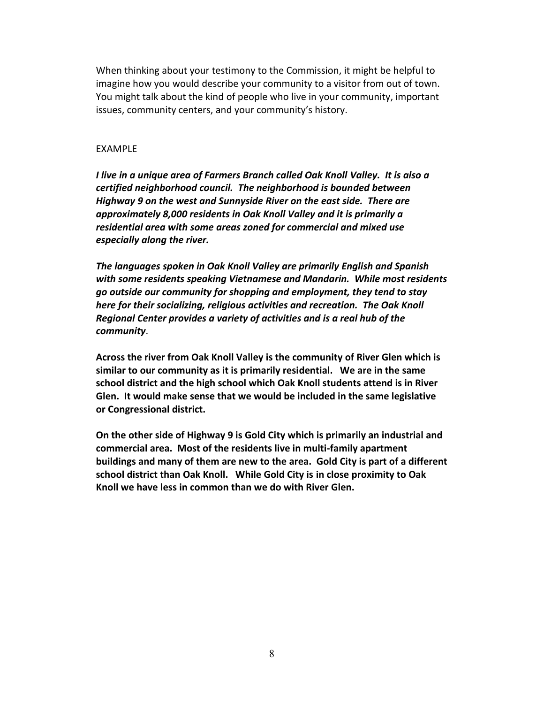When thinking about your testimony to the Commission, it might be helpful to imagine how you would describe your community to a visitor from out of town. You might talk about the kind of people who live in your community, important issues, community centers, and your community's history.

#### EXAMPLE

*I live in a unique area of Farmers Branch called Oak Knoll Valley. It is also a certified neighborhood council. The neighborhood is bounded between Highway 9 on the west and Sunnyside River on the east side. There are approximately 8,000 residents in Oak Knoll Valley and it is primarily a residential area with some areas zoned for commercial and mixed use especially along the river.*

*The languages spoken in Oak Knoll Valley are primarily English and Spanish with some residents speaking Vietnamese and Mandarin. While most residents go outside our community for shopping and employment, they tend to stay here for their socializing, religious activities and recreation. The Oak Knoll Regional Center provides a variety of activities and is a real hub of the community*.

**Across the river from Oak Knoll Valley is the community of River Glen which is similar to our community as it is primarily residential. We are in the same school district and the high school which Oak Knoll students attend is in River Glen. It would make sense that we would be included in the same legislative or Congressional district.**

**On the other side of Highway 9 is Gold City which is primarily an industrial and commercial area. Most of the residents live in multi-family apartment buildings and many of them are new to the area. Gold City is part of a different school district than Oak Knoll. While Gold City is in close proximity to Oak Knoll we have less in common than we do with River Glen.**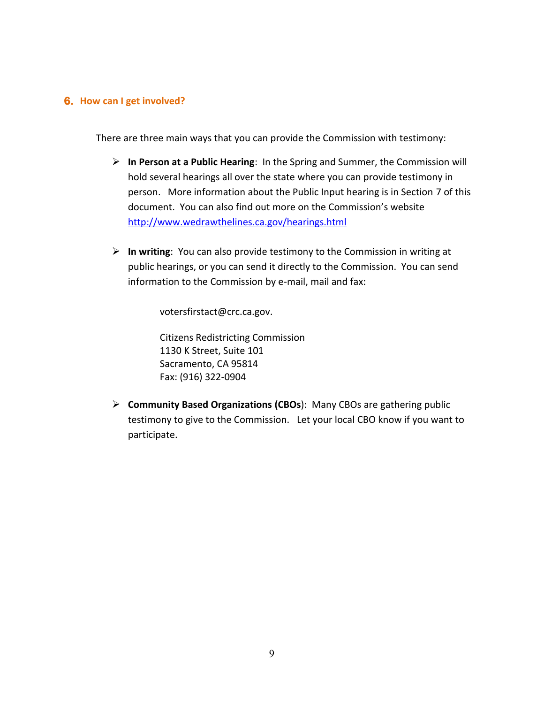#### **6. How can I get involved?**

There are three main ways that you can provide the Commission with testimony:

- **In Person at a Public Hearing**: In the Spring and Summer, the Commission will hold several hearings all over the state where you can provide testimony in person. More information about the Public Input hearing is in Section 7 of this document. You can also find out more on the Commission's website <http://www.wedrawthelines.ca.gov/hearings.html>
- **In writing**: You can also provide testimony to the Commission in writing at public hearings, or you can send it directly to the Commission. You can send information to the Commission by e-mail, mail and fax:

votersfirstact@crc.ca.gov.

Citizens Redistricting Commission 1130 K Street, Suite 101 Sacramento, CA 95814 Fax: (916) 322-0904

 **Community Based Organizations (CBOs**): Many CBOs are gathering public testimony to give to the Commission. Let your local CBO know if you want to participate.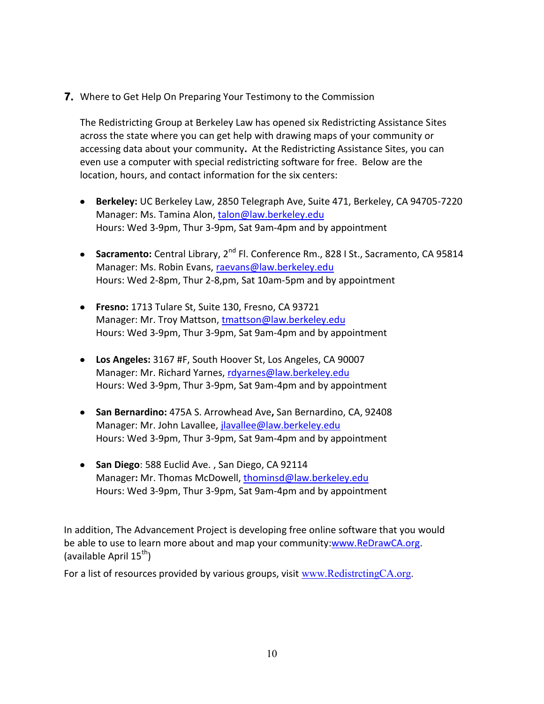**7.** Where to Get Help On Preparing Your Testimony to the Commission

The Redistricting Group at Berkeley Law has opened six Redistricting Assistance Sites across the state where you can get help with drawing maps of your community or accessing data about your community**.** At the Redistricting Assistance Sites, you can even use a computer with special redistricting software for free. Below are the location, hours, and contact information for the six centers:

- **Berkeley:** UC Berkeley Law, 2850 Telegraph Ave, Suite 471, Berkeley, CA 94705-7220 Manager: Ms. Tamina Alon, [talon@law.berkeley.edu](mailto:talon@law.berkeley.edu) Hours: Wed 3-9pm, Thur 3-9pm, Sat 9am-4pm and by appointment
- **Sacramento:** Central Library, 2<sup>nd</sup> Fl. Conference Rm., 828 I St., Sacramento, CA 95814 Manager: Ms. Robin Evans, [raevans@law.berkeley.edu](mailto:raevans@law.berkeley.edu) Hours: Wed 2-8pm, Thur 2-8,pm, Sat 10am-5pm and by appointment
- **Fresno:** 1713 Tulare St, Suite 130, Fresno, CA 93721 Manager: Mr. Troy Mattson, [tmattson@law.berkeley.edu](mailto:tmattson@law.berkeley.edu) Hours: Wed 3-9pm, Thur 3-9pm, Sat 9am-4pm and by appointment
- **Los Angeles:** 3167 #F, South Hoover St, Los Angeles, CA 90007 Manager: Mr. Richard Yarnes, [rdyarnes@law.berkeley.edu](mailto:rdyarnes@law.berkeley.edu) Hours: Wed 3-9pm, Thur 3-9pm, Sat 9am-4pm and by appointment
- **San Bernardino:** 475A S. Arrowhead Ave**,** San Bernardino, CA, 92408 Manager: Mr. John Lavallee, *jlavallee@law.berkeley.edu* Hours: Wed 3-9pm, Thur 3-9pm, Sat 9am-4pm and by appointment
- **San Diego**: 588 Euclid Ave. , San Diego, CA 92114 Manager**:** Mr. Thomas McDowell, [thominsd@law.berkeley.edu](mailto:thominsd@law.berkeley.edu) Hours: Wed 3-9pm, Thur 3-9pm, Sat 9am-4pm and by appointment

In addition, The Advancement Project is developing free online software that you would be able to use to learn more about and map your community[:www.ReDrawCA.org.](http://www.redrawca.org/) (available April  $15^{th}$ )

For a list of resources provided by various groups, visit [www.RedistrctingCA.org.](http://www.redistrctingca.org/)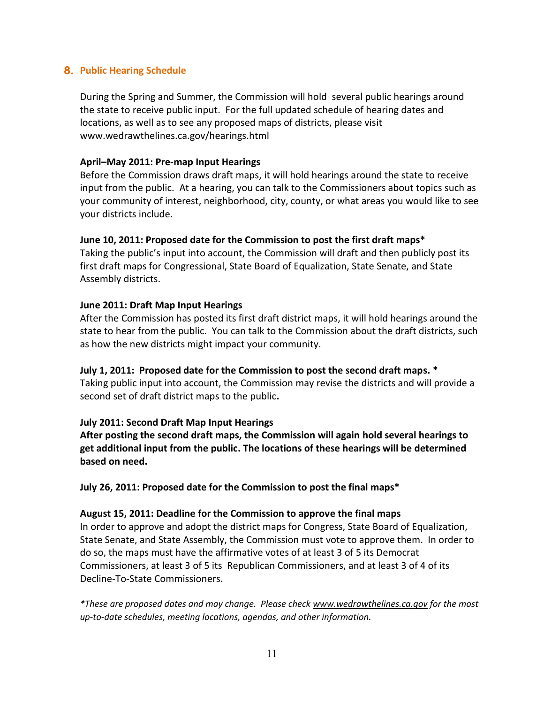# **8. Public Hearing Schedule**

During the Spring and Summer, the Commission will hold several public hearings around the state to receive public input. For the full updated schedule of hearing dates and locations, as well as to see any proposed maps of districts, please visit www.wedrawthelines.ca.gov/hearings.html

#### **April–May 2011: Pre-map Input Hearings**

Before the Commission draws draft maps, it will hold hearings around the state to receive input from the public. At a hearing, you can talk to the Commissioners about topics such as your community of interest, neighborhood, city, county, or what areas you would like to see your districts include.

## **June 10, 2011: Proposed date for the Commission to post the first draft maps\***

Taking the public's input into account, the Commission will draft and then publicly post its first draft maps for Congressional, State Board of Equalization, State Senate, and State Assembly districts.

## **June 2011: Draft Map Input Hearings**

After the Commission has posted its first draft district maps, it will hold hearings around the state to hear from the public. You can talk to the Commission about the draft districts, such as how the new districts might impact your community.

#### **July 1, 2011: Proposed date for the Commission to post the second draft maps. \***

Taking public input into account, the Commission may revise the districts and will provide a second set of draft district maps to the public**.** 

#### **July 2011: Second Draft Map Input Hearings**

**After posting the second draft maps, the Commission will again hold several hearings to get additional input from the public. The locations of these hearings will be determined based on need.**

**July 26, 2011: Proposed date for the Commission to post the final maps\***

#### **August 15, 2011: Deadline for the Commission to approve the final maps**

In order to approve and adopt the district maps for Congress, State Board of Equalization, State Senate, and State Assembly, the Commission must vote to approve them. In order to do so, the maps must have the affirmative votes of at least 3 of 5 its Democrat Commissioners, at least 3 of 5 its Republican Commissioners, and at least 3 of 4 of its Decline-To-State Commissioners.

*\*These are proposed dates and may change. Please check [www.wedrawthelines.ca.gov](http://www.wedrawthelines.ca.gov/) for the most up-to-date schedules, meeting locations, agendas, and other information.*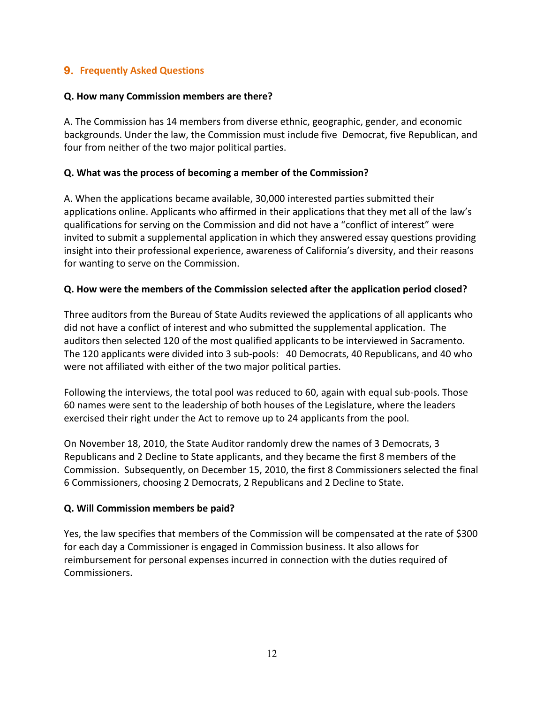# **9. Frequently Asked Questions**

## **Q. How many Commission members are there?**

A. The Commission has 14 members from diverse ethnic, geographic, gender, and economic backgrounds. Under the law, the Commission must include five Democrat, five Republican, and four from neither of the two major political parties.

## **Q. What was the process of becoming a member of the Commission?**

A. When the applications became available, 30,000 interested parties submitted their applications online. Applicants who affirmed in their applications that they met all of the law's qualifications for serving on the Commission and did not have a "conflict of interest" were invited to submit a supplemental application in which they answered essay questions providing insight into their professional experience, awareness of California's diversity, and their reasons for wanting to serve on the Commission.

## **Q. How were the members of the Commission selected after the application period closed?**

Three auditors from the Bureau of State Audits reviewed the applications of all applicants who did not have a conflict of interest and who submitted the supplemental application. The auditors then selected 120 of the most qualified applicants to be interviewed in Sacramento. The 120 applicants were divided into 3 sub-pools: 40 Democrats, 40 Republicans, and 40 who were not affiliated with either of the two major political parties.

Following the interviews, the total pool was reduced to 60, again with equal sub-pools. Those 60 names were sent to the leadership of both houses of the Legislature, where the leaders exercised their right under the Act to remove up to 24 applicants from the pool.

On November 18, 2010, the State Auditor randomly drew the names of 3 Democrats, 3 Republicans and 2 Decline to State applicants, and they became the first 8 members of the Commission. Subsequently, on December 15, 2010, the first 8 Commissioners selected the final 6 Commissioners, choosing 2 Democrats, 2 Republicans and 2 Decline to State.

#### **Q. Will Commission members be paid?**

Yes, the law specifies that members of the Commission will be compensated at the rate of \$300 for each day a Commissioner is engaged in Commission business. It also allows for reimbursement for personal expenses incurred in connection with the duties required of Commissioners.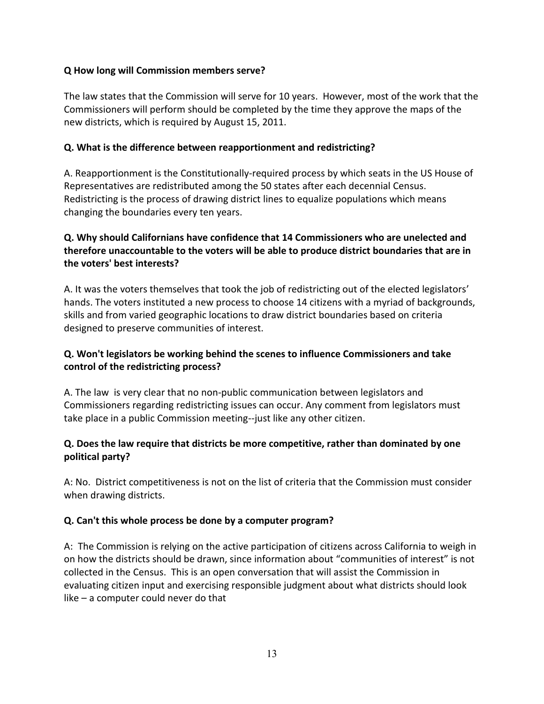# **Q How long will Commission members serve?**

The law states that the Commission will serve for 10 years. However, most of the work that the Commissioners will perform should be completed by the time they approve the maps of the new districts, which is required by August 15, 2011.

# **Q. What is the difference between reapportionment and redistricting?**

A. Reapportionment is the Constitutionally-required process by which seats in the US House of Representatives are redistributed among the 50 states after each decennial Census. Redistricting is the process of drawing district lines to equalize populations which means changing the boundaries every ten years.

# **Q. Why should Californians have confidence that 14 Commissioners who are unelected and therefore unaccountable to the voters will be able to produce district boundaries that are in the voters' best interests?**

A. It was the voters themselves that took the job of redistricting out of the elected legislators' hands. The voters instituted a new process to choose 14 citizens with a myriad of backgrounds, skills and from varied geographic locations to draw district boundaries based on criteria designed to preserve communities of interest.

# **Q. Won't legislators be working behind the scenes to influence Commissioners and take control of the redistricting process?**

A. The law is very clear that no non-public communication between legislators and Commissioners regarding redistricting issues can occur. Any comment from legislators must take place in a public Commission meeting--just like any other citizen.

# **Q. Does the law require that districts be more competitive, rather than dominated by one political party?**

A: No. District competitiveness is not on the list of criteria that the Commission must consider when drawing districts.

# **Q. Can't this whole process be done by a computer program?**

A: The Commission is relying on the active participation of citizens across California to weigh in on how the districts should be drawn, since information about "communities of interest" is not collected in the Census. This is an open conversation that will assist the Commission in evaluating citizen input and exercising responsible judgment about what districts should look like – a computer could never do that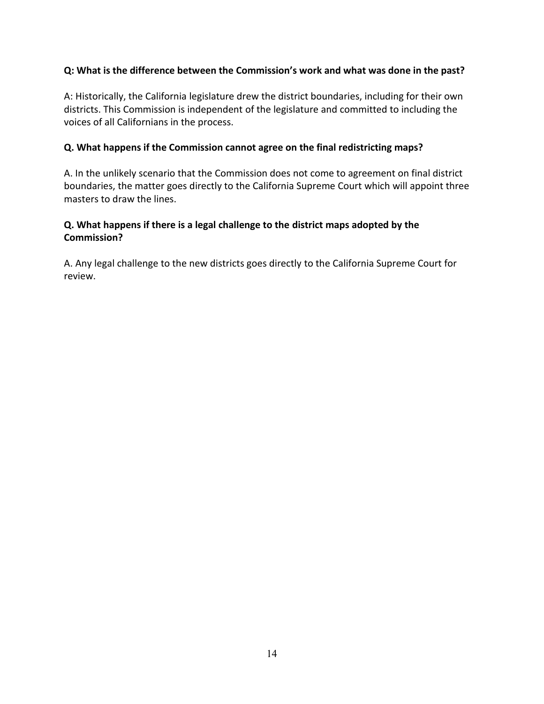# **Q: What is the difference between the Commission's work and what was done in the past?**

A: Historically, the California legislature drew the district boundaries, including for their own districts. This Commission is independent of the legislature and committed to including the voices of all Californians in the process.

#### **Q. What happens if the Commission cannot agree on the final redistricting maps?**

A. In the unlikely scenario that the Commission does not come to agreement on final district boundaries, the matter goes directly to the California Supreme Court which will appoint three masters to draw the lines.

# **Q. What happens if there is a legal challenge to the district maps adopted by the Commission?**

A. Any legal challenge to the new districts goes directly to the California Supreme Court for review.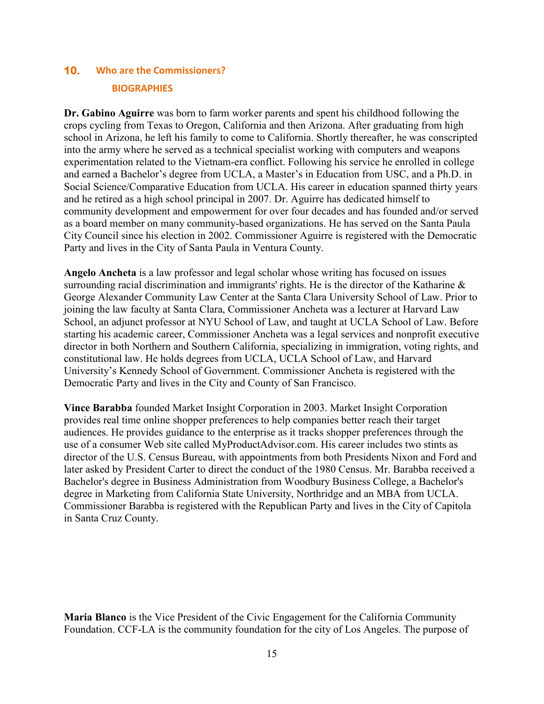# **10. Who are the Commissioners? BIOGRAPHIES**

**Dr. Gabino Aguirre** was born to farm worker parents and spent his childhood following the crops cycling from Texas to Oregon, California and then Arizona. After graduating from high school in Arizona, he left his family to come to California. Shortly thereafter, he was conscripted into the army where he served as a technical specialist working with computers and weapons experimentation related to the Vietnam-era conflict. Following his service he enrolled in college and earned a Bachelor's degree from UCLA, a Master's in Education from USC, and a Ph.D. in Social Science/Comparative Education from UCLA. His career in education spanned thirty years and he retired as a high school principal in 2007. Dr. Aguirre has dedicated himself to community development and empowerment for over four decades and has founded and/or served as a board member on many community-based organizations. He has served on the Santa Paula City Council since his election in 2002. Commissioner Aguirre is registered with the Democratic Party and lives in the City of Santa Paula in Ventura County.

**Angelo Ancheta** is a law professor and legal scholar whose writing has focused on issues surrounding racial discrimination and immigrants' rights. He is the director of the Katharine & George Alexander Community Law Center at the Santa Clara University School of Law. Prior to joining the law faculty at Santa Clara, Commissioner Ancheta was a lecturer at Harvard Law School, an adjunct professor at NYU School of Law, and taught at UCLA School of Law. Before starting his academic career, Commissioner Ancheta was a legal services and nonprofit executive director in both Northern and Southern California, specializing in immigration, voting rights, and constitutional law. He holds degrees from UCLA, UCLA School of Law, and Harvard University's Kennedy School of Government. Commissioner Ancheta is registered with the Democratic Party and lives in the City and County of San Francisco.

**Vince Barabba** founded Market Insight Corporation in 2003. Market Insight Corporation provides real time online shopper preferences to help companies better reach their target audiences. He provides guidance to the enterprise as it tracks shopper preferences through the use of a consumer Web site called MyProductAdvisor.com. His career includes two stints as director of the U.S. Census Bureau, with appointments from both Presidents Nixon and Ford and later asked by President Carter to direct the conduct of the 1980 Census. Mr. Barabba received a Bachelor's degree in Business Administration from Woodbury Business College, a Bachelor's degree in Marketing from California State University, Northridge and an MBA from UCLA. Commissioner Barabba is registered with the Republican Party and lives in the City of Capitola in Santa Cruz County.

**Maria Blanco** is the Vice President of the Civic Engagement for the California Community Foundation. CCF-LA is the community foundation for the city of Los Angeles. The purpose of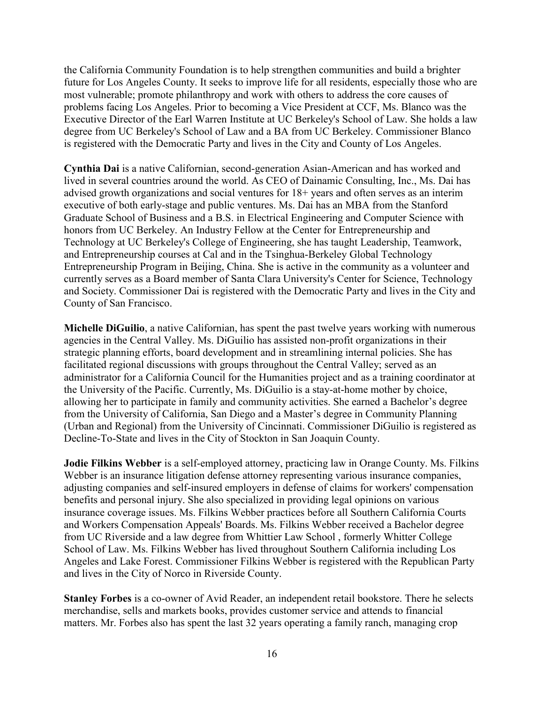the California Community Foundation is to help strengthen communities and build a brighter future for Los Angeles County. It seeks to improve life for all residents, especially those who are most vulnerable; promote philanthropy and work with others to address the core causes of problems facing Los Angeles. Prior to becoming a Vice President at CCF, Ms. Blanco was the Executive Director of the Earl Warren Institute at UC Berkeley's School of Law. She holds a law degree from UC Berkeley's School of Law and a BA from UC Berkeley. Commissioner Blanco is registered with the Democratic Party and lives in the City and County of Los Angeles.

**Cynthia Dai** is a native Californian, second-generation Asian-American and has worked and lived in several countries around the world. As CEO of Dainamic Consulting, Inc., Ms. Dai has advised growth organizations and social ventures for 18+ years and often serves as an interim executive of both early-stage and public ventures. Ms. Dai has an MBA from the Stanford Graduate School of Business and a B.S. in Electrical Engineering and Computer Science with honors from UC Berkeley. An Industry Fellow at the Center for Entrepreneurship and Technology at UC Berkeley's College of Engineering, she has taught Leadership, Teamwork, and Entrepreneurship courses at Cal and in the Tsinghua-Berkeley Global Technology Entrepreneurship Program in Beijing, China. She is active in the community as a volunteer and currently serves as a Board member of Santa Clara University's Center for Science, Technology and Society. Commissioner Dai is registered with the Democratic Party and lives in the City and County of San Francisco.

**Michelle DiGuilio**, a native Californian, has spent the past twelve years working with numerous agencies in the Central Valley. Ms. DiGuilio has assisted non-profit organizations in their strategic planning efforts, board development and in streamlining internal policies. She has facilitated regional discussions with groups throughout the Central Valley; served as an administrator for a California Council for the Humanities project and as a training coordinator at the University of the Pacific. Currently, Ms. DiGuilio is a stay-at-home mother by choice, allowing her to participate in family and community activities. She earned a Bachelor's degree from the University of California, San Diego and a Master's degree in Community Planning (Urban and Regional) from the University of Cincinnati. Commissioner DiGuilio is registered as Decline-To-State and lives in the City of Stockton in San Joaquin County.

**Jodie Filkins Webber** is a self-employed attorney, practicing law in Orange County. Ms. Filkins Webber is an insurance litigation defense attorney representing various insurance companies, adjusting companies and self-insured employers in defense of claims for workers' compensation benefits and personal injury. She also specialized in providing legal opinions on various insurance coverage issues. Ms. Filkins Webber practices before all Southern California Courts and Workers Compensation Appeals' Boards. Ms. Filkins Webber received a Bachelor degree from UC Riverside and a law degree from Whittier Law School , formerly Whitter College School of Law. Ms. Filkins Webber has lived throughout Southern California including Los Angeles and Lake Forest. Commissioner Filkins Webber is registered with the Republican Party and lives in the City of Norco in Riverside County.

**Stanley Forbes** is a co-owner of Avid Reader, an independent retail bookstore. There he selects merchandise, sells and markets books, provides customer service and attends to financial matters. Mr. Forbes also has spent the last 32 years operating a family ranch, managing crop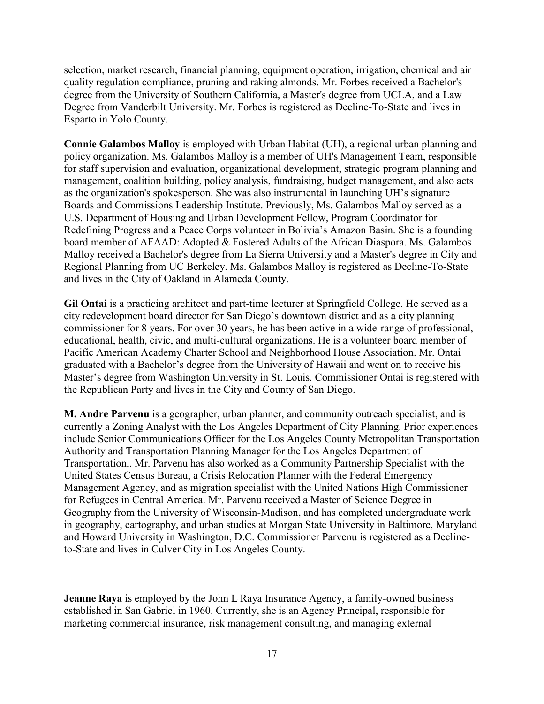selection, market research, financial planning, equipment operation, irrigation, chemical and air quality regulation compliance, pruning and raking almonds. Mr. Forbes received a Bachelor's degree from the University of Southern California, a Master's degree from UCLA, and a Law Degree from Vanderbilt University. Mr. Forbes is registered as Decline-To-State and lives in Esparto in Yolo County.

**Connie Galambos Malloy** is employed with Urban Habitat (UH), a regional urban planning and policy organization. Ms. Galambos Malloy is a member of UH's Management Team, responsible for staff supervision and evaluation, organizational development, strategic program planning and management, coalition building, policy analysis, fundraising, budget management, and also acts as the organization's spokesperson. She was also instrumental in launching UH's signature Boards and Commissions Leadership Institute. Previously, Ms. Galambos Malloy served as a U.S. Department of Housing and Urban Development Fellow, Program Coordinator for Redefining Progress and a Peace Corps volunteer in Bolivia's Amazon Basin. She is a founding board member of AFAAD: Adopted & Fostered Adults of the African Diaspora. Ms. Galambos Malloy received a Bachelor's degree from La Sierra University and a Master's degree in City and Regional Planning from UC Berkeley. Ms. Galambos Malloy is registered as Decline-To-State and lives in the City of Oakland in Alameda County.

**Gil Ontai** is a practicing architect and part-time lecturer at Springfield College. He served as a city redevelopment board director for San Diego's downtown district and as a city planning commissioner for 8 years. For over 30 years, he has been active in a wide-range of professional, educational, health, civic, and multi-cultural organizations. He is a volunteer board member of Pacific American Academy Charter School and Neighborhood House Association. Mr. Ontai graduated with a Bachelor's degree from the University of Hawaii and went on to receive his Master's degree from Washington University in St. Louis. Commissioner Ontai is registered with the Republican Party and lives in the City and County of San Diego.

**M. Andre Parvenu** is a geographer, urban planner, and community outreach specialist, and is currently a Zoning Analyst with the Los Angeles Department of City Planning. Prior experiences include Senior Communications Officer for the Los Angeles County Metropolitan Transportation Authority and Transportation Planning Manager for the Los Angeles Department of Transportation,. Mr. Parvenu has also worked as a Community Partnership Specialist with the United States Census Bureau, a Crisis Relocation Planner with the Federal Emergency Management Agency, and as migration specialist with the United Nations High Commissioner for Refugees in Central America. Mr. Parvenu received a Master of Science Degree in Geography from the University of Wisconsin-Madison, and has completed undergraduate work in geography, cartography, and urban studies at Morgan State University in Baltimore, Maryland and Howard University in Washington, D.C. Commissioner Parvenu is registered as a Declineto-State and lives in Culver City in Los Angeles County.

**Jeanne Raya** is employed by the John L Raya Insurance Agency, a family-owned business established in San Gabriel in 1960. Currently, she is an Agency Principal, responsible for marketing commercial insurance, risk management consulting, and managing external